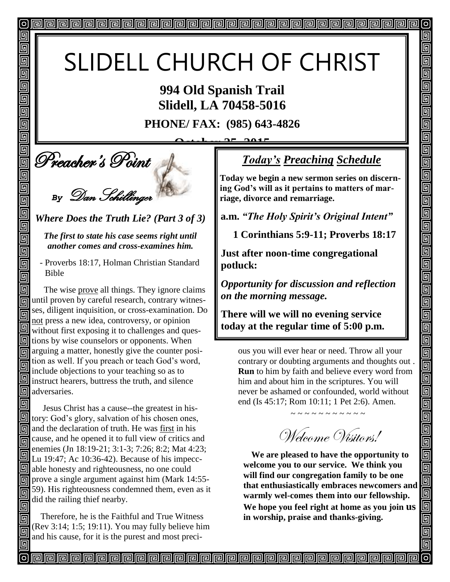# SLIDELL CHURCH OF CHRIST

**994 Old Spanish Trail Slidell, LA 70458-5016**

**PHONE/ FAX: (985) 643-4826**

**October 25, 2015**

**Deacher's Point** 

回

回

回 同 回

回 回

回

回

回

回

 $\overline{\mathbb{D}}$ 

画

回

回 回

面

回

同

同

同 回

*By* Dan Schillinger

## *Where Does the Truth Lie? (Part 3 of 3)*

#### *The first to state his case seems right until another comes and cross-examines him.*

 - Proverbs 18:17, Holman Christian Standard Bible

 The wise prove all things. They ignore claims **In** until proven by careful research, contrary witnesses, diligent inquisition, or cross-examination. Do 同 not press a new idea, controversy, or opinion without first exposing it to challenges and ques- $\boxed{9}$  tions by wise counselors or opponents. When arguing a matter, honestly give the counter position as well. If you preach or teach God's word, include objections to your teaching so as to instruct hearers, buttress the truth, and silence **<sub>[5]</sub>** adversaries.

回 Jesus Christ has a cause--the greatest in hisfortunation of his chosen ones, and the declaration of truth. He was first in his cause, and he opened it to full view of critics and 同 enemies (Jn 18:19-21; 3:1-3; 7:26; 8:2; Mat 4:23; 回 Lu 19:47; Ac 10:36-42). Because of his impecc- $\mathbb{Z}$  able honesty and righteousness, no one could **同** prove a single argument against him (Mark 14:55-59). His righteousness condemned them, even as it 回 did the railing thief nearby. 同

 Therefore, he is the Faithful and True Witness (Rev 3:14; 1:5; 19:11). You may fully believe him and his cause, for it is the purest and most preci-

# *Today's Preaching Schedule*

 $\overline{O}$ 

回

5

5

5

5

回 <u>同</u>  $\overline{\mathbb{D}}$ 

回

<u>同</u>

回

回

回

5

5 回

5 回

回 回

e eller<br>Eller

<u>elet</u>

<u>alai</u>

回

回回

回

<u>Fieir</u>

99

回

5

**Today we begin a new sermon series on discerning God's will as it pertains to matters of marriage, divorce and remarriage.**

**a.m.** *"The Holy Spirit's Original Intent"*

 **1 Corinthians 5:9-11; Proverbs 18:17**

**Just after noon-time congregational potluck:** 

*Opportunity for discussion and reflection on the morning message.* 

**There will we will no evening service today at the regular time of 5:00 p.m.**

ous you will ever hear or need. Throw all your contrary or doubting arguments and thoughts out . **Run** to him by faith and believe every word from him and about him in the scriptures. You will never be ashamed or confounded, world without end (Is 45:17; Rom 10:11; 1 Pet 2:6). Amen.

~ ~ ~ ~ ~ ~ ~ ~ ~ ~ ~

Welcome Visitors!

**We are pleased to have the opportunity to welcome you to our service. We think you will find our congregation family to be one that enthusiastically embraces newcomers and warmly wel-comes them into our fellowship. We hope you feel right at home as you join us in worship, praise and thanks-giving.**

<u>papapapapapapapapapapapapapapapa</u>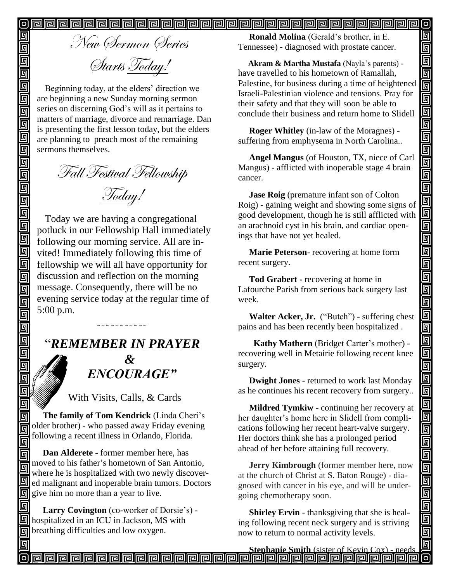New Sermon Series Starts Today!

回

回

回

回

 $\blacksquare$ 

<u>Field</u>

靣

回 靣

 $\overline{\mathbb{G}}$ 同 回 回  $\overline{\mathbb{D}}$  $\overline{\overline{\mathbb{G}}}$ 面 靣 回

靣 同  $\overline{\mathbb{G}}$ 司

回 回 回 回

匠 回

**「** 回 同

回 同 同

Beginning today, at the elders' direction we are beginning a new Sunday morning sermon series on discerning God's will as it pertains to matters of marriage, divorce and remarriage. Dan is presenting the first lesson today, but the elders are planning to preach most of the remaining sermons themselves.

Fall Festival Fellowship Today!

Today we are having a congregational potluck in our Fellowship Hall immediately following our morning service. All are invited! Immediately following this time of fellowship we will all have opportunity for discussion and reflection on the morning message. Consequently, there will be no evening service today at the regular time of 5:00 p.m.

# "*REMEMBER IN PRAYER &* " *ENCOURAGE"*

~ ~ ~ ~ ~ ~ ~ ~ ~ ~ ~

With Visits, Calls, & Cards

 **The family of Tom Kendrick** (Linda Cheri's older brother) - who passed away Friday evening following a recent illness in Orlando, Florida.

 **Dan Alderete -** former member here, has moved to his father's hometown of San Antonio, where he is hospitalized with two newly discovered malignant and inoperable brain tumors. Doctors  $\boxed{9}$  give him no more than a year to live.

同  **Larry Covington** (co-worker of Dorsie's) - **Solutify** hospitalized in an ICU in Jackson, MS with **n** breathing difficulties and low oxygen.

 **Ronald Molina** (Gerald's brother, in E. Tennessee) - diagnosed with prostate cancer. 回

回

回

回  $\bar{\bar{\mathsf{q}}}$ 

loloj

99

واواواواواواواواو

<u>ololo da</u>

<u>gigigig</u>

<u>Field</u>

<u>s s s</u>

<u>ololo da</u>

900

回

 **Akram & Martha Mustafa** (Nayla's parents) have travelled to his hometown of Ramallah, Palestine, for business during a time of heightened Israeli-Palestinian violence and tensions. Pray for their safety and that they will soon be able to conclude their business and return home to Slidell

 **Roger Whitley** (in-law of the Moragnes) suffering from emphysema in North Carolina..

 **Angel Mangus** (of Houston, TX, niece of Carl Mangus) - afflicted with inoperable stage 4 brain cancer.

 **Jase Roig** (premature infant son of Colton Roig) - gaining weight and showing some signs of good development, though he is still afflicted with an arachnoid cyst in his brain, and cardiac openings that have not yet healed.

 **Marie Peterson**- recovering at home form recent surgery.

 **Tod Grabert -** recovering at home in Lafourche Parish from serious back surgery last week.

 **Walter Acker, Jr.** ("Butch") - suffering chest pains and has been recently been hospitalized .

 **Kathy Mathern** (Bridget Carter's mother) recovering well in Metairie following recent knee surgery.

 **Dwight Jones** - returned to work last Monday as he continues his recent recovery from surgery..

 **Mildred Tymkiw** - continuing her recovery at her daughter's home here in Slidell from complications following her recent heart-valve surgery. Her doctors think she has a prolonged period ahead of her before attaining full recovery.

 **Jerry Kimbrough** (former member here, now at the church of Christ at S. Baton Rouge) - diagnosed with cancer in his eye, and will be undergoing chemotherapy soon. Î

 **Shirley Ervin** - thanksgiving that she is healing following recent neck surgery and is striving now to return to normal activity levels.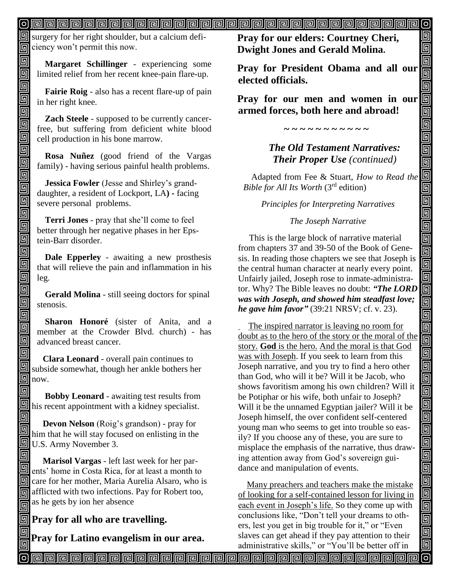$\boxed{9}$  surgery for her right shoulder, but a calcium deficiency won't permit this now.

回 同

回

回 面

回 回

回  $\blacksquare$ 

回 回 面  $\overline{\overline{\mathbb{G}}}$ 面

 $\blacksquare$ 回

回 回  $\overline{\mathbb{G}}$ 

 $\overline{\mathbb{G}}$ 靣

回

靣

**Margaret Schillinger** - experiencing some limited relief from her recent knee-pain flare-up.

**Fairie Roig** - also has a recent flare-up of pain in her right knee.

**Zach Steele** - supposed to be currently cancerfree, but suffering from deficient white blood cell production in his bone marrow.

**Rosa Nuñez** (good friend of the Vargas family) - having serious painful health problems.

**Jessica Fowler** (Jesse and Shirley's granddaughter, a resident of Lockport, LA**) -** facing severe personal problems.

**Terri Jones** - pray that she'll come to feel better through her negative phases in her Epstein-Barr disorder.

**Dale Epperley** - awaiting a new prosthesis that will relieve the pain and inflammation in his leg.

**Gerald Molina** - still seeing doctors for spinal stenosis.

**Sharon Honoré** (sister of Anita, and a member at the Crowder Blvd. church) - has advanced breast cancer.

回  **Clara Leonard** - overall pain continues to 回 subside somewhat, though her ankle bothers her  $\ln 0$ now.

回  **Bobby Leonard** - awaiting test results from  $\boxed{\text{This recent appointment with a kidney specialist.}}$ 

回 **Devon Nelson** (Roig's grandson) - pray for 同 him that he will stay focused on enlisting in the U.S. Army November 3.

回  **Marisol Vargas** - left last week for her parents' home in Costa Rica, for at least a month to G care for her mother, Maria Aurelia Alsaro, who is **and** afflicted with two infections. Pay for Robert too,  $\frac{1}{\sqrt{2}}$  as he gets by ion her absence

## **Pray for all who are travelling.**

**Pray for Latino evangelism in our area.**

**Pray for our elders: Courtney Cheri, Dwight Jones and Gerald Molina.**

**Pray for President Obama and all our elected officials.**

回 回

<u>alai</u>

Ō,

İ

uala<br>La

 $\overline{\mathbf{p}}$ 

0000000

<u>ieir</u>

<u>ele l</u>

回

<u>elet</u>

回

90000

000000

99<br>9

 $\overline{\mathsf{G}}$ 回

**Pray for our men and women in our armed forces, both here and abroad!**

**~ ~ ~ ~ ~ ~ ~ ~ ~ ~ ~**

*The Old Testament Narratives: Their Proper Use (continued)*

Adapted from Fee & Stuart, *How to Read the Bible for All Its Worth* (3rd edition)

*Principles for Interpreting Narratives*

#### *The Joseph Narrative*

 This is the large block of narrative material from chapters 37 and 39-50 of the Book of Genesis. In reading those chapters we see that Joseph is the central human character at nearly every point. Unfairly jailed, Joseph rose to inmate-administrator. Why? The Bible leaves no doubt: *"The LORD was with Joseph, and showed him steadfast love; he gave him favor"* (39:21 NRSV; cf. v. 23).

 The inspired narrator is leaving no room for doubt as to the hero of the story or the moral of the story. **God** is the hero. And the moral is that God was with Joseph. If you seek to learn from this Joseph narrative, and you try to find a hero other than God, who will it be? Will it be Jacob, who shows favoritism among his own children? Will it be Potiphar or his wife, both unfair to Joseph? Will it be the unnamed Egyptian jailer? Will it be Joseph himself, the over confident self-centered young man who seems to get into trouble so easily? If you choose any of these, you are sure to misplace the emphasis of the narrative, thus drawing attention away from God's sovereign guidance and manipulation of events.

 Many preachers and teachers make the mistake of looking for a self-contained lesson for living in each event in Joseph's life. So they come up with conclusions like, "Don't tell your dreams to others, lest you get in big trouble for it," or "Even slaves can get ahead if they pay attention to their administrative skills," or "You'll be better off in

வ